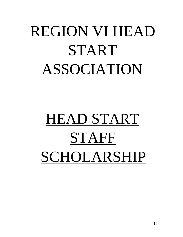# REGION VI HEAD START ASSOCIATION

# HEAD START STAFF SCHOLARSHIP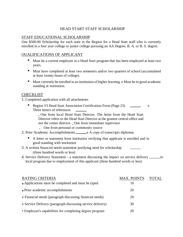# HEAD START STAFF SCHOLARSHIP

## STAFF EDUCATIONAL SCHOLARSHIP

One \$500.00 Scholarship for each state in the Region for a Head Start staff who is currently enrolled in a four year college or junior college pursuing an AA Degree, B. A. or B. S. degree.

## OUALIFICATIONS OF APPLICANT

- Must be a current employee in a Head Start program that has been employed at least two years.
- Must have completed at least two semesters and/or two quarters of school (accumulated at least twenty hours of college).
- Must currently be enrolled in an institution of higher learning. e Must be in good academic standing at institution.

## **CHECKLIST**

1. Completed application with all attachments

• Region VI Head Start Association Certification Form (Page 23) e Three letters of references

One from local Head Start Director. The letter from the Head Start Director refers to the Head Start Director at the grantee central office and not the center director. One from immediate supervisor

- **One from personal or community source**
- 2. Prior Academic Accomplishments e A copy of transcripts diplomas
	- A letter or statement from institution verifying that applicant is enrolled and in good standing with institution
- 3. A written financial needs statement justifying need for scholarship (three hundred words or less)
- 4. Service Delivery Statement a statement discussing the impact on service delivery <u>in</u> local program due to employment of this applicant (three hundred words or less)

| <b>RATING CRITERIA</b>                                     | <b>MAX. POINTS</b> | <b>TOTAL</b> |
|------------------------------------------------------------|--------------------|--------------|
| • Applications must be completed and must be typed         | 10                 |              |
| • Prior academic accomplishments                           | 20                 |              |
| e Financial needs (paragraph discussing financial needs)   | 20                 |              |
| e Service Delivery (paragraph discussing service delivery) | 30                 |              |
| • Employee's capabilities for completing degree program    | 20                 |              |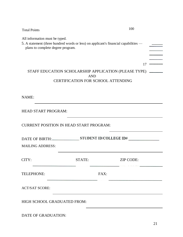| <b>Total Points</b>                                                 |            | 100                                                                                                             |  |
|---------------------------------------------------------------------|------------|-----------------------------------------------------------------------------------------------------------------|--|
| All information must be typed.<br>plans to complete degree program. |            | 5. A statement (three hundred words or less) on applicant's financial capabilities -                            |  |
|                                                                     | <b>AND</b> | 17<br>STAFF EDUCATION SCHOLARSHIP APPLICATION (PLEASE TYPE) ______<br><b>CERTIFICATION FOR SCHOOL ATTENDING</b> |  |
| NAME:                                                               |            |                                                                                                                 |  |
| <b>HEAD START PROGRAM:</b>                                          |            |                                                                                                                 |  |
| <b>CURRENT POSITION IN HEAD START PROGRAM:</b>                      |            |                                                                                                                 |  |
|                                                                     |            |                                                                                                                 |  |
| <b>MAILING ADDRESS:</b>                                             |            |                                                                                                                 |  |
| CITY:                                                               | STATE:     | <b>ZIP CODE:</b>                                                                                                |  |
| TELEPHONE:                                                          |            | FAX:                                                                                                            |  |
| <b>ACT/SAT SCORE:</b>                                               |            |                                                                                                                 |  |
| HIGH SCHOOL GRADUATED FROM:                                         |            |                                                                                                                 |  |
|                                                                     |            |                                                                                                                 |  |

DATE OF GRADUATION: